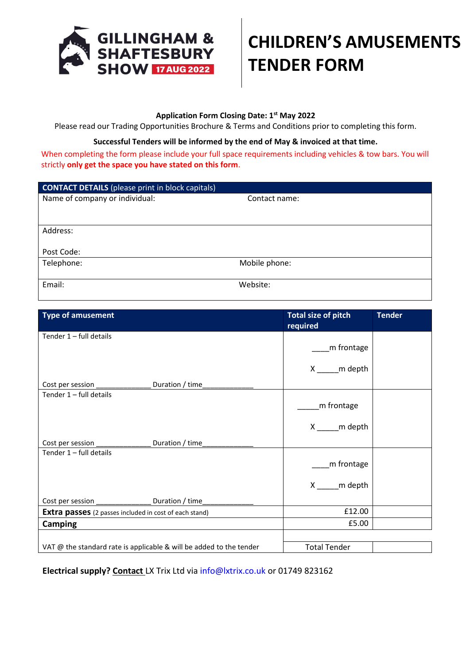

## **CHILDREN'S AMUSEMENTS TENDER FORM**

## **Application Form Closing Date: 1st May 2022**

Please read our Trading Opportunities Brochure & Terms and Conditions prior to completing this form.

## **Successful Tenders will be informed by the end of May & invoiced at that time.**

When completing the form please include your full space requirements including vehicles & tow bars. You will strictly **only get the space you have stated on this form**.

| <b>CONTACT DETAILS</b> (please print in block capitals) |               |  |
|---------------------------------------------------------|---------------|--|
| Name of company or individual:                          | Contact name: |  |
|                                                         |               |  |
|                                                         |               |  |
| Address:                                                |               |  |
|                                                         |               |  |
| Post Code:                                              |               |  |
| Telephone:                                              | Mobile phone: |  |
|                                                         |               |  |
| Email:                                                  | Website:      |  |

| <b>Type of amusement</b>                                            |  | Total size of pitch<br>required | <b>Tender</b> |
|---------------------------------------------------------------------|--|---------------------------------|---------------|
| Tender $1$ – full details                                           |  |                                 |               |
|                                                                     |  | m frontage                      |               |
|                                                                     |  | X ______ m depth                |               |
| Cost per session __________________ Duration / time_____            |  |                                 |               |
| Tender $1$ – full details                                           |  |                                 |               |
|                                                                     |  | m frontage                      |               |
|                                                                     |  | X _____ m depth                 |               |
| Cost per session ________________ Duration / time_____              |  |                                 |               |
| Tender $1$ – full details                                           |  |                                 |               |
|                                                                     |  | m frontage                      |               |
|                                                                     |  | X _____ m depth                 |               |
| Cost per session _________________ Duration / time_                 |  |                                 |               |
| <b>Extra passes</b> (2 passes included in cost of each stand)       |  | £12.00                          |               |
| <b>Camping</b>                                                      |  | £5.00                           |               |
|                                                                     |  |                                 |               |
| VAT @ the standard rate is applicable & will be added to the tender |  | <b>Total Tender</b>             |               |

**Electrical supply? Contact** LX Trix Ltd via [info@lxtrix.co.uk](mailto:info@lxtrix.co.uk) or 01749 823162